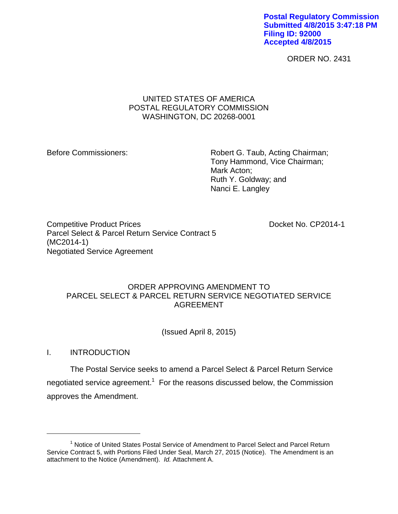**Postal Regulatory Commission Submitted 4/8/2015 3:47:18 PM Filing ID: 92000 Accepted 4/8/2015**

ORDER NO. 2431

### UNITED STATES OF AMERICA POSTAL REGULATORY COMMISSION WASHINGTON, DC 20268-0001

Before Commissioners: Robert G. Taub, Acting Chairman; Tony Hammond, Vice Chairman; Mark Acton; Ruth Y. Goldway; and Nanci E. Langley

Competitive Product Prices **Docket No. CP2014-1** Parcel Select & Parcel Return Service Contract 5 (MC2014-1) Negotiated Service Agreement

# ORDER APPROVING AMENDMENT TO PARCEL SELECT & PARCEL RETURN SERVICE NEGOTIATED SERVICE AGREEMENT

(Issued April 8, 2015)

I. INTRODUCTION

 $\overline{a}$ 

The Postal Service seeks to amend a Parcel Select & Parcel Return Service negotiated service agreement.<sup>1</sup> For the reasons discussed below, the Commission approves the Amendment.

<sup>&</sup>lt;sup>1</sup> Notice of United States Postal Service of Amendment to Parcel Select and Parcel Return Service Contract 5, with Portions Filed Under Seal, March 27, 2015 (Notice). The Amendment is an attachment to the Notice (Amendment). *Id.* Attachment A.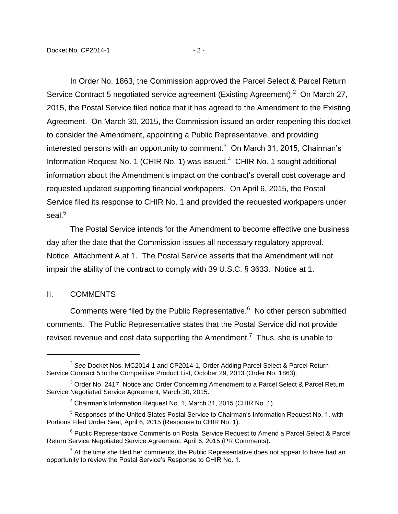In Order No. 1863, the Commission approved the Parcel Select & Parcel Return Service Contract 5 negotiated service agreement (Existing Agreement). $^2$  On March 27, 2015, the Postal Service filed notice that it has agreed to the Amendment to the Existing Agreement. On March 30, 2015, the Commission issued an order reopening this docket to consider the Amendment, appointing a Public Representative, and providing interested persons with an opportunity to comment.<sup>3</sup> On March 31, 2015, Chairman's Information Request No. 1 (CHIR No. 1) was issued. $4$  CHIR No. 1 sought additional information about the Amendment's impact on the contract's overall cost coverage and requested updated supporting financial workpapers. On April 6, 2015, the Postal Service filed its response to CHIR No. 1 and provided the requested workpapers under

The Postal Service intends for the Amendment to become effective one business day after the date that the Commission issues all necessary regulatory approval. Notice, Attachment A at 1. The Postal Service asserts that the Amendment will not impair the ability of the contract to comply with 39 U.S.C. § 3633. Notice at 1.

#### II. COMMENTS

seal.<sup>5</sup>

 $\overline{a}$ 

Comments were filed by the Public Representative. $6$  No other person submitted comments. The Public Representative states that the Postal Service did not provide revised revenue and cost data supporting the Amendment.<sup>7</sup> Thus, she is unable to

<sup>2</sup> *See* Docket Nos. MC2014-1 and CP2014-1, Order Adding Parcel Select & Parcel Return Service Contract 5 to the Competitive Product List, October 29, 2013 (Order No. 1863).

<sup>&</sup>lt;sup>3</sup> Order No. 2417, Notice and Order Concerning Amendment to a Parcel Select & Parcel Return Service Negotiated Service Agreement, March 30, 2015.

<sup>4</sup> Chairman's Information Request No. 1, March 31, 2015 (CHIR No. 1).

 $5$  Responses of the United States Postal Service to Chairman's Information Request No. 1, with Portions Filed Under Seal, April 6, 2015 (Response to CHIR No. 1).

<sup>&</sup>lt;sup>6</sup> Public Representative Comments on Postal Service Request to Amend a Parcel Select & Parcel Return Service Negotiated Service Agreement, April 6, 2015 (PR Comments).

 $7$  At the time she filed her comments, the Public Representative does not appear to have had an opportunity to review the Postal Service's Response to CHIR No. 1.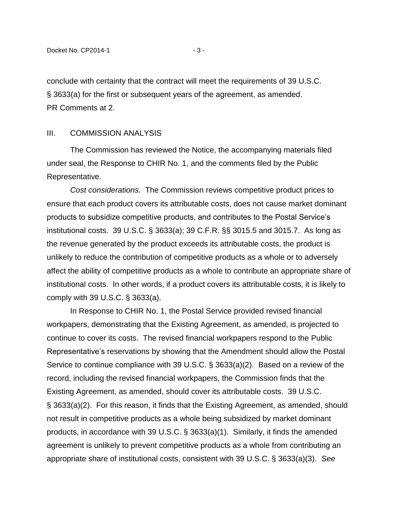conclude with certainty that the contract will meet the requirements of 39 U.S.C. § 3633(a) for the first or subsequent years of the agreement, as amended. PR Comments at 2.

### III. COMMISSION ANALYSIS

The Commission has reviewed the Notice, the accompanying materials filed under seal, the Response to CHIR No. 1, and the comments filed by the Public Representative.

*Cost considerations.* The Commission reviews competitive product prices to ensure that each product covers its attributable costs, does not cause market dominant products to subsidize competitive products, and contributes to the Postal Service's institutional costs. 39 U.S.C. § 3633(a); 39 C.F.R. §§ 3015.5 and 3015.7. As long as the revenue generated by the product exceeds its attributable costs, the product is unlikely to reduce the contribution of competitive products as a whole or to adversely affect the ability of competitive products as a whole to contribute an appropriate share of institutional costs. In other words, if a product covers its attributable costs, it is likely to comply with 39 U.S.C. § 3633(a).

In Response to CHIR No. 1, the Postal Service provided revised financial workpapers, demonstrating that the Existing Agreement, as amended, is projected to continue to cover its costs. The revised financial workpapers respond to the Public Representative's reservations by showing that the Amendment should allow the Postal Service to continue compliance with 39 U.S.C. § 3633(a)(2). Based on a review of the record, including the revised financial workpapers, the Commission finds that the Existing Agreement, as amended, should cover its attributable costs. 39 U.S.C. § 3633(a)(2). For this reason, it finds that the Existing Agreement, as amended, should not result in competitive products as a whole being subsidized by market dominant products, in accordance with 39 U.S.C. § 3633(a)(1). Similarly, it finds the amended agreement is unlikely to prevent competitive products as a whole from contributing an appropriate share of institutional costs, consistent with 39 U.S.C. § 3633(a)(3). *See*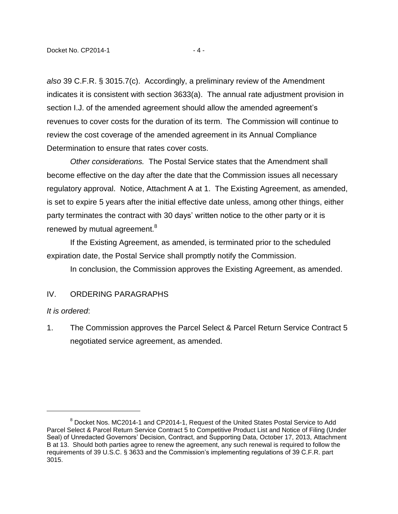*also* 39 C.F.R. § 3015.7(c). Accordingly, a preliminary review of the Amendment indicates it is consistent with section 3633(a). The annual rate adjustment provision in section I.J. of the amended agreement should allow the amended agreement's revenues to cover costs for the duration of its term. The Commission will continue to review the cost coverage of the amended agreement in its Annual Compliance Determination to ensure that rates cover costs.

*Other considerations.* The Postal Service states that the Amendment shall become effective on the day after the date that the Commission issues all necessary regulatory approval. Notice, Attachment A at 1. The Existing Agreement, as amended, is set to expire 5 years after the initial effective date unless, among other things, either party terminates the contract with 30 days' written notice to the other party or it is renewed by mutual agreement.<sup>8</sup>

If the Existing Agreement, as amended, is terminated prior to the scheduled expiration date, the Postal Service shall promptly notify the Commission.

In conclusion, the Commission approves the Existing Agreement, as amended.

# IV. ORDERING PARAGRAPHS

### *It is ordered*:

 $\overline{a}$ 

1. The Commission approves the Parcel Select & Parcel Return Service Contract 5 negotiated service agreement, as amended.

 $8$  Docket Nos. MC2014-1 and CP2014-1, Request of the United States Postal Service to Add Parcel Select & Parcel Return Service Contract 5 to Competitive Product List and Notice of Filing (Under Seal) of Unredacted Governors' Decision, Contract, and Supporting Data, October 17, 2013, Attachment B at 13. Should both parties agree to renew the agreement, any such renewal is required to follow the requirements of 39 U.S.C. § 3633 and the Commission's implementing regulations of 39 C.F.R. part 3015.